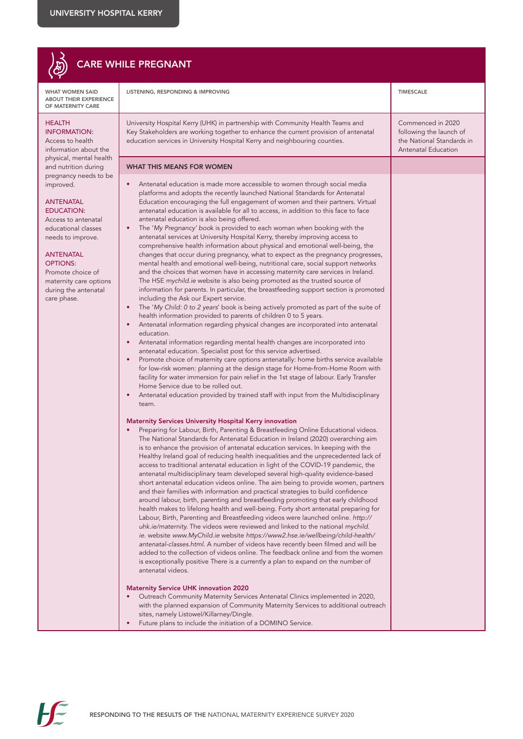

## **CARE**

WHAT WOMEN SAID ABOUT THEIR EXPERIENCE OF MATERNITY CARE

### HEALTH

INFORMATION: Access to health information about t physical, mental he and nutrition during pregnancy needs to improved.

#### ANTENATAL EDUCATION:

Access to antenatal educational classes needs to improve.

#### ANTENATAL OPTIONS:

Promote choice of maternity care optiduring the antenata care phase.

| <b>ENCE</b>       | LISTENING, RESPONDING & IMPROVING                                                                                                                                                                                                                                                                                                                                                                                                                                                                                                                                                                                                                                                                                                                                                                                                                                                                                                                                                                                                                                                                                                                                                                                                                                                                                                                                                                                                                                                                                                                                                                                                                                                                                                                                                                                                                                                                                                                                                                                                                                                                                                                                                                                                                                                                                                                                                                                                                                                                                                                                                                                                                                                                                                                                                                                                                                                                                                                                                                                                                                                                                                                                                                                                                                                                                                                                                                                                                                  | <b>TIMESCALE</b>                                                                                 |
|-------------------|--------------------------------------------------------------------------------------------------------------------------------------------------------------------------------------------------------------------------------------------------------------------------------------------------------------------------------------------------------------------------------------------------------------------------------------------------------------------------------------------------------------------------------------------------------------------------------------------------------------------------------------------------------------------------------------------------------------------------------------------------------------------------------------------------------------------------------------------------------------------------------------------------------------------------------------------------------------------------------------------------------------------------------------------------------------------------------------------------------------------------------------------------------------------------------------------------------------------------------------------------------------------------------------------------------------------------------------------------------------------------------------------------------------------------------------------------------------------------------------------------------------------------------------------------------------------------------------------------------------------------------------------------------------------------------------------------------------------------------------------------------------------------------------------------------------------------------------------------------------------------------------------------------------------------------------------------------------------------------------------------------------------------------------------------------------------------------------------------------------------------------------------------------------------------------------------------------------------------------------------------------------------------------------------------------------------------------------------------------------------------------------------------------------------------------------------------------------------------------------------------------------------------------------------------------------------------------------------------------------------------------------------------------------------------------------------------------------------------------------------------------------------------------------------------------------------------------------------------------------------------------------------------------------------------------------------------------------------------------------------------------------------------------------------------------------------------------------------------------------------------------------------------------------------------------------------------------------------------------------------------------------------------------------------------------------------------------------------------------------------------------------------------------------------------------------------------------------------|--------------------------------------------------------------------------------------------------|
| :he               | University Hospital Kerry (UHK) in partnership with Community Health Teams and<br>Key Stakeholders are working together to enhance the current provision of antenatal<br>education services in University Hospital Kerry and neighbouring counties.                                                                                                                                                                                                                                                                                                                                                                                                                                                                                                                                                                                                                                                                                                                                                                                                                                                                                                                                                                                                                                                                                                                                                                                                                                                                                                                                                                                                                                                                                                                                                                                                                                                                                                                                                                                                                                                                                                                                                                                                                                                                                                                                                                                                                                                                                                                                                                                                                                                                                                                                                                                                                                                                                                                                                                                                                                                                                                                                                                                                                                                                                                                                                                                                                | Commenced in 2020<br>following the launch of<br>the National Standards in<br>Antenatal Education |
| alth<br>J         | <b>WHAT THIS MEANS FOR WOMEN</b>                                                                                                                                                                                                                                                                                                                                                                                                                                                                                                                                                                                                                                                                                                                                                                                                                                                                                                                                                                                                                                                                                                                                                                                                                                                                                                                                                                                                                                                                                                                                                                                                                                                                                                                                                                                                                                                                                                                                                                                                                                                                                                                                                                                                                                                                                                                                                                                                                                                                                                                                                                                                                                                                                                                                                                                                                                                                                                                                                                                                                                                                                                                                                                                                                                                                                                                                                                                                                                   |                                                                                                  |
| be c<br>ons<br>۱ı | Antenatal education is made more accessible to women through social media<br>platforms and adopts the recently launched National Standards for Antenatal<br>Education encouraging the full engagement of women and their partners. Virtual<br>antenatal education is available for all to access, in addition to this face to face<br>antenatal education is also being offered.<br>The 'My Pregnancy' book is provided to each woman when booking with the<br>antenatal services at University Hospital Kerry, thereby improving access to<br>comprehensive health information about physical and emotional well-being, the<br>changes that occur during pregnancy, what to expect as the pregnancy progresses,<br>mental health and emotional well-being, nutritional care, social support networks<br>and the choices that women have in accessing maternity care services in Ireland.<br>The HSE mychild.ie website is also being promoted as the trusted source of<br>information for parents. In particular, the breastfeeding support section is promoted<br>including the Ask our Expert service.<br>The 'My Child: 0 to 2 years' book is being actively promoted as part of the suite of<br>$\bullet$<br>health information provided to parents of children 0 to 5 years.<br>Antenatal information regarding physical changes are incorporated into antenatal<br>$\bullet$<br>education.<br>Antenatal information regarding mental health changes are incorporated into<br>antenatal education. Specialist post for this service advertised.<br>Promote choice of maternity care options antenatally: home births service available<br>$\bullet$<br>for low-risk women: planning at the design stage for Home-from-Home Room with<br>facility for water immersion for pain relief in the 1st stage of labour. Early Transfer<br>Home Service due to be rolled out.<br>Antenatal education provided by trained staff with input from the Multidisciplinary<br>team.<br><b>Maternity Services University Hospital Kerry innovation</b><br>Preparing for Labour, Birth, Parenting & Breastfeeding Online Educational videos.<br>The National Standards for Antenatal Education in Ireland (2020) overarching aim<br>is to enhance the provision of antenatal education services. In keeping with the<br>Healthy Ireland goal of reducing health inequalities and the unprecedented lack of<br>access to traditional antenatal education in light of the COVID-19 pandemic, the<br>antenatal multidisciplinary team developed several high-quality evidence-based<br>short antenatal education videos online. The aim being to provide women, partners<br>and their families with information and practical strategies to build confidence<br>around labour, birth, parenting and breastfeeding promoting that early childhood<br>health makes to lifelong health and well-being. Forty short antenatal preparing for<br>Labour, Birth, Parenting and Breastfeeding videos were launched online. http://<br>uhk.ie/maternity. The videos were reviewed and linked to the national mychild.<br>ie. website www.MyChild.ie website https://www2.hse.ie/wellbeing/child-health/<br>antenatal-classes.html. A number of videos have recently been filmed and will be<br>added to the collection of videos online. The feedback online and from the women<br>is exceptionally positive There is a currently a plan to expand on the number of<br>antenatal videos. |                                                                                                  |
|                   | <b>Maternity Service UHK innovation 2020</b><br>Outreach Community Maternity Services Antenatal Clinics implemented in 2020,<br>with the planned expansion of Community Maternity Services to additional outreach<br>sites, namely Listowel/Killarney/Dingle.                                                                                                                                                                                                                                                                                                                                                                                                                                                                                                                                                                                                                                                                                                                                                                                                                                                                                                                                                                                                                                                                                                                                                                                                                                                                                                                                                                                                                                                                                                                                                                                                                                                                                                                                                                                                                                                                                                                                                                                                                                                                                                                                                                                                                                                                                                                                                                                                                                                                                                                                                                                                                                                                                                                                                                                                                                                                                                                                                                                                                                                                                                                                                                                                      |                                                                                                  |

• Future plans to include the initiation of a DOMINO Service.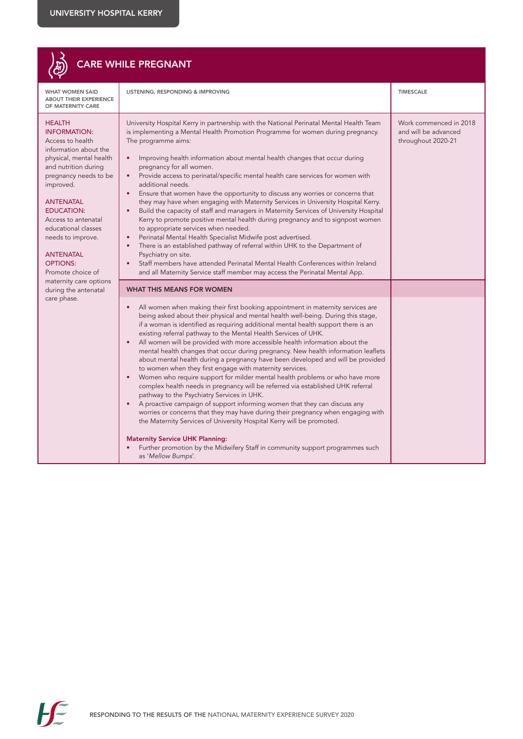|                                                                                                                                                                                                                                                                                                                                                                              | <b>CARE WHILE PREGNANT</b>                                                                                                                                                                                                                                                                                                                                                                                                                                                                                                                                                                                                                                                                                                                                                                                                                                                                                                                                                                                                                                                                                                                                                                                                                                                                  |                                                                      |
|------------------------------------------------------------------------------------------------------------------------------------------------------------------------------------------------------------------------------------------------------------------------------------------------------------------------------------------------------------------------------|---------------------------------------------------------------------------------------------------------------------------------------------------------------------------------------------------------------------------------------------------------------------------------------------------------------------------------------------------------------------------------------------------------------------------------------------------------------------------------------------------------------------------------------------------------------------------------------------------------------------------------------------------------------------------------------------------------------------------------------------------------------------------------------------------------------------------------------------------------------------------------------------------------------------------------------------------------------------------------------------------------------------------------------------------------------------------------------------------------------------------------------------------------------------------------------------------------------------------------------------------------------------------------------------|----------------------------------------------------------------------|
| <b>WHAT WOMEN SAID</b><br><b>ABOUT THEIR EXPERIENCE</b><br>OF MATERNITY CARE                                                                                                                                                                                                                                                                                                 | LISTENING, RESPONDING & IMPROVING                                                                                                                                                                                                                                                                                                                                                                                                                                                                                                                                                                                                                                                                                                                                                                                                                                                                                                                                                                                                                                                                                                                                                                                                                                                           | <b>TIMESCALE</b>                                                     |
| <b>HEALTH</b><br><b>INFORMATION:</b><br>Access to health<br>information about the<br>physical, mental health<br>and nutrition during<br>pregnancy needs to be<br>improved.<br><b>ANTENATAL</b><br><b>EDUCATION:</b><br>Access to antenatal<br>educational classes<br>needs to improve.<br><b>ANTENATAL</b><br><b>OPTIONS:</b><br>Promote choice of<br>maternity care options | University Hospital Kerry in partnership with the National Perinatal Mental Health Team<br>is implementing a Mental Health Promotion Programme for women during pregnancy.<br>The programme aims:<br>Improving health information about mental health changes that occur during<br>pregnancy for all women.<br>Provide access to perinatal/specific mental health care services for women with<br>additional needs.<br>Ensure that women have the opportunity to discuss any worries or concerns that<br>they may have when engaging with Maternity Services in University Hospital Kerry.<br>Build the capacity of staff and managers in Maternity Services of University Hospital<br>Kerry to promote positive mental health during pregnancy and to signpost women<br>to appropriate services when needed.<br>Perinatal Mental Health Specialist Midwife post advertised.<br>There is an established pathway of referral within UHK to the Department of<br>Psychiatry on site.<br>Staff members have attended Perinatal Mental Health Conferences within Ireland<br>and all Maternity Service staff member may access the Perinatal Mental App.                                                                                                                                         | Work commenced in 2018<br>and will be advanced<br>throughout 2020-21 |
| during the antenatal<br>care phase.                                                                                                                                                                                                                                                                                                                                          | WHAT THIS MEANS FOR WOMEN<br>All women when making their first booking appointment in maternity services are<br>being asked about their physical and mental health well-being. During this stage,<br>if a woman is identified as requiring additional mental health support there is an<br>existing referral pathway to the Mental Health Services of UHK.<br>All women will be provided with more accessible health information about the<br>mental health changes that occur during pregnancy. New health information leaflets<br>about mental health during a pregnancy have been developed and will be provided<br>to women when they first engage with maternity services.<br>Women who require support for milder mental health problems or who have more<br>complex health needs in pregnancy will be referred via established UHK referral<br>pathway to the Psychiatry Services in UHK.<br>A proactive campaign of support informing women that they can discuss any<br>worries or concerns that they may have during their pregnancy when engaging with<br>the Maternity Services of University Hospital Kerry will be promoted.<br><b>Maternity Service UHK Planning:</b><br>Further promotion by the Midwifery Staff in community support programmes such<br>as 'Mellow Bumps'. |                                                                      |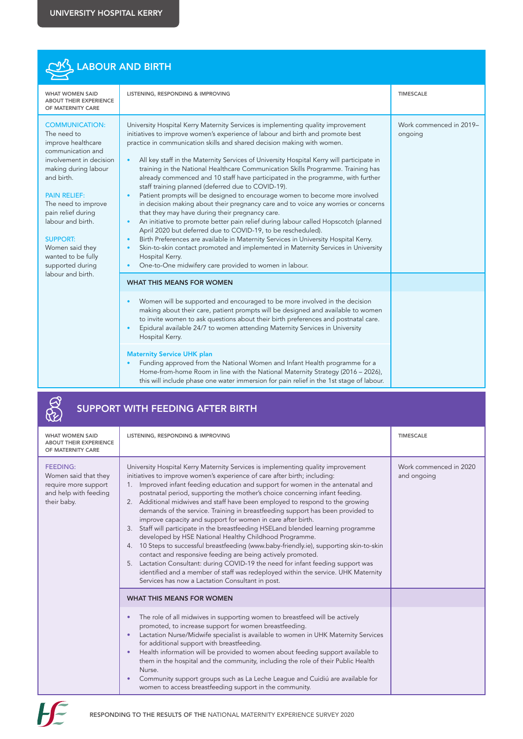| LABOUR AND BIRTH                                                                                                                                                                                                                                                                                                          |                                                                                                                                                                                                                                                                                                                                                                                                                                                                                                                                                                                                                                                                                                                                                                                                                                                                                                                                                                                                                                                                                                                                                                                                                             |                                    |  |
|---------------------------------------------------------------------------------------------------------------------------------------------------------------------------------------------------------------------------------------------------------------------------------------------------------------------------|-----------------------------------------------------------------------------------------------------------------------------------------------------------------------------------------------------------------------------------------------------------------------------------------------------------------------------------------------------------------------------------------------------------------------------------------------------------------------------------------------------------------------------------------------------------------------------------------------------------------------------------------------------------------------------------------------------------------------------------------------------------------------------------------------------------------------------------------------------------------------------------------------------------------------------------------------------------------------------------------------------------------------------------------------------------------------------------------------------------------------------------------------------------------------------------------------------------------------------|------------------------------------|--|
| <b>WHAT WOMEN SAID</b><br><b>ABOUT THEIR EXPERIENCE</b><br>OF MATERNITY CARE                                                                                                                                                                                                                                              | LISTENING, RESPONDING & IMPROVING                                                                                                                                                                                                                                                                                                                                                                                                                                                                                                                                                                                                                                                                                                                                                                                                                                                                                                                                                                                                                                                                                                                                                                                           | <b>TIMESCALE</b>                   |  |
| <b>COMMUNICATION:</b><br>The need to<br>improve healthcare<br>communication and<br>involvement in decision<br>making during labour<br>and birth.<br><b>PAIN RELIEF:</b><br>The need to improve<br>pain relief during<br>labour and birth.<br><b>SUPPORT:</b><br>Women said they<br>wanted to be fully<br>supported during | University Hospital Kerry Maternity Services is implementing quality improvement<br>initiatives to improve women's experience of labour and birth and promote best<br>practice in communication skills and shared decision making with women.<br>All key staff in the Maternity Services of University Hospital Kerry will participate in<br>training in the National Healthcare Communication Skills Programme. Training has<br>already commenced and 10 staff have participated in the programme, with further<br>staff training planned (deferred due to COVID-19).<br>Patient prompts will be designed to encourage women to become more involved<br>in decision making about their pregnancy care and to voice any worries or concerns<br>that they may have during their pregnancy care.<br>An initiative to promote better pain relief during labour called Hopscotch (planned<br>$\bullet$<br>April 2020 but deferred due to COVID-19, to be rescheduled).<br>Birth Preferences are available in Maternity Services in University Hospital Kerry.<br>Skin-to-skin contact promoted and implemented in Maternity Services in University<br>Hospital Kerry.<br>One-to-One midwifery care provided to women in labour. | Work commenced in 2019-<br>ongoing |  |
| labour and birth.                                                                                                                                                                                                                                                                                                         | <b>WHAT THIS MEANS FOR WOMEN</b>                                                                                                                                                                                                                                                                                                                                                                                                                                                                                                                                                                                                                                                                                                                                                                                                                                                                                                                                                                                                                                                                                                                                                                                            |                                    |  |
|                                                                                                                                                                                                                                                                                                                           | Women will be supported and encouraged to be more involved in the decision<br>making about their care, patient prompts will be designed and available to women<br>to invite women to ask questions about their birth preferences and postnatal care.<br>Epidural available 24/7 to women attending Maternity Services in University<br>Hospital Kerry.                                                                                                                                                                                                                                                                                                                                                                                                                                                                                                                                                                                                                                                                                                                                                                                                                                                                      |                                    |  |
|                                                                                                                                                                                                                                                                                                                           | <b>Maternity Service UHK plan</b><br>Funding approved from the National Women and Infant Health programme for a<br>Home-from-home Room in line with the National Maternity Strategy (2016 – 2026),<br>this will include phase one water immersion for pain relief in the 1st stage of labour.                                                                                                                                                                                                                                                                                                                                                                                                                                                                                                                                                                                                                                                                                                                                                                                                                                                                                                                               |                                    |  |

|                                                                                                         | <b>SUPPORT WITH FEEDING AFTER BIRTH</b>                                                                                                                                                                                                                                                                                                                                                                                                                                                                                                                                                                                                                                                                                                                                                                                                                                                                                                                                                                                                                                                                    |                                       |
|---------------------------------------------------------------------------------------------------------|------------------------------------------------------------------------------------------------------------------------------------------------------------------------------------------------------------------------------------------------------------------------------------------------------------------------------------------------------------------------------------------------------------------------------------------------------------------------------------------------------------------------------------------------------------------------------------------------------------------------------------------------------------------------------------------------------------------------------------------------------------------------------------------------------------------------------------------------------------------------------------------------------------------------------------------------------------------------------------------------------------------------------------------------------------------------------------------------------------|---------------------------------------|
| <b>WHAT WOMEN SAID</b><br><b>ABOUT THEIR EXPERIENCE</b><br>OF MATERNITY CARE                            | LISTENING, RESPONDING & IMPROVING                                                                                                                                                                                                                                                                                                                                                                                                                                                                                                                                                                                                                                                                                                                                                                                                                                                                                                                                                                                                                                                                          | <b>TIMESCALE</b>                      |
| <b>FEEDING:</b><br>Women said that they<br>require more support<br>and help with feeding<br>their baby. | University Hospital Kerry Maternity Services is implementing quality improvement<br>initiatives to improve women's experience of care after birth; including:<br>Improved infant feeding education and support for women in the antenatal and<br>1.<br>postnatal period, supporting the mother's choice concerning infant feeding.<br>2. Additional midwives and staff have been employed to respond to the growing<br>demands of the service. Training in breastfeeding support has been provided to<br>improve capacity and support for women in care after birth.<br>3. Staff will participate in the breastfeeding HSELand blended learning programme<br>developed by HSE National Healthy Childhood Programme.<br>4. 10 Steps to successful breastfeeding (www.baby-friendly.ie), supporting skin-to-skin<br>contact and responsive feeding are being actively promoted.<br>5. Lactation Consultant: during COVID-19 the need for infant feeding support was<br>identified and a member of staff was redeployed within the service. UHK Maternity<br>Services has now a Lactation Consultant in post. | Work commenced in 2020<br>and ongoing |
|                                                                                                         | <b>WHAT THIS MEANS FOR WOMEN</b>                                                                                                                                                                                                                                                                                                                                                                                                                                                                                                                                                                                                                                                                                                                                                                                                                                                                                                                                                                                                                                                                           |                                       |
|                                                                                                         | The role of all midwives in supporting women to breastfeed will be actively<br>٠<br>promoted, to increase support for women breastfeeding.<br>Lactation Nurse/Midwife specialist is available to women in UHK Maternity Services<br>$\bullet$<br>for additional support with breastfeeding.<br>Health information will be provided to women about feeding support available to<br>$\bullet$<br>them in the hospital and the community, including the role of their Public Health<br>Nurse.<br>Community support groups such as La Leche League and Cuidiú are available for<br>٠<br>women to access breastfeeding support in the community.                                                                                                                                                                                                                                                                                                                                                                                                                                                                |                                       |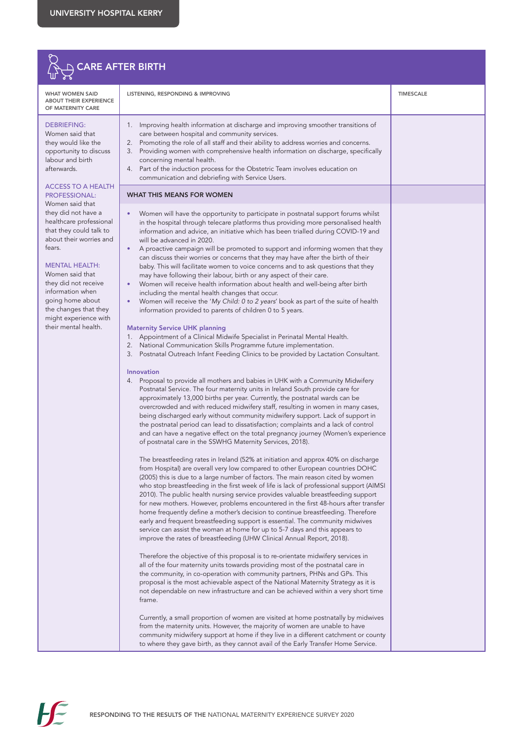

| WHAT WOMEN SAID<br>ABOUT THEIR EXPERIENCE<br>OF MATERNITY CARE                                                                                                                                                                                                                                                          | LISTENING, RESPONDING & IMPROVING                                                                                                                                                                                                                                                                                                                                                                                                                                                                                                                                                                                                                                                                                                                                                                                                                                                                                                                                                                                                                                                                                                                                                                                                                                                                                                                                                                                                                                                                                                                                                                                                                                                                                                                                                                                                                                                                                                                                                                                                                                                                                                                                                                                                                                                                                                                                                                                                                                                                                                                                                                                                                                                                                                                                                                                                                                                                                                                                                                                                                                                                                                                                                                                                                                                                                                                                                                                                                                                                                                                                        | <b>TIMESCALE</b> |
|-------------------------------------------------------------------------------------------------------------------------------------------------------------------------------------------------------------------------------------------------------------------------------------------------------------------------|--------------------------------------------------------------------------------------------------------------------------------------------------------------------------------------------------------------------------------------------------------------------------------------------------------------------------------------------------------------------------------------------------------------------------------------------------------------------------------------------------------------------------------------------------------------------------------------------------------------------------------------------------------------------------------------------------------------------------------------------------------------------------------------------------------------------------------------------------------------------------------------------------------------------------------------------------------------------------------------------------------------------------------------------------------------------------------------------------------------------------------------------------------------------------------------------------------------------------------------------------------------------------------------------------------------------------------------------------------------------------------------------------------------------------------------------------------------------------------------------------------------------------------------------------------------------------------------------------------------------------------------------------------------------------------------------------------------------------------------------------------------------------------------------------------------------------------------------------------------------------------------------------------------------------------------------------------------------------------------------------------------------------------------------------------------------------------------------------------------------------------------------------------------------------------------------------------------------------------------------------------------------------------------------------------------------------------------------------------------------------------------------------------------------------------------------------------------------------------------------------------------------------------------------------------------------------------------------------------------------------------------------------------------------------------------------------------------------------------------------------------------------------------------------------------------------------------------------------------------------------------------------------------------------------------------------------------------------------------------------------------------------------------------------------------------------------------------------------------------------------------------------------------------------------------------------------------------------------------------------------------------------------------------------------------------------------------------------------------------------------------------------------------------------------------------------------------------------------------------------------------------------------------------------------------------------------|------------------|
| DEBRIEFING:<br>Women said that<br>they would like the<br>opportunity to discuss<br>labour and birth<br>afterwards.                                                                                                                                                                                                      | 1. Improving health information at discharge and improving smoother transitions of<br>care between hospital and community services.<br>Promoting the role of all staff and their ability to address worries and concerns.<br>2.<br>Providing women with comprehensive health information on discharge, specifically<br>3.<br>concerning mental health.<br>Part of the induction process for the Obstetric Team involves education on<br>4.<br>communication and debriefing with Service Users.                                                                                                                                                                                                                                                                                                                                                                                                                                                                                                                                                                                                                                                                                                                                                                                                                                                                                                                                                                                                                                                                                                                                                                                                                                                                                                                                                                                                                                                                                                                                                                                                                                                                                                                                                                                                                                                                                                                                                                                                                                                                                                                                                                                                                                                                                                                                                                                                                                                                                                                                                                                                                                                                                                                                                                                                                                                                                                                                                                                                                                                                           |                  |
| ACCESS TO A HEALTH<br><b>PROFESSIONAL:</b>                                                                                                                                                                                                                                                                              | <b>WHAT THIS MEANS FOR WOMEN</b>                                                                                                                                                                                                                                                                                                                                                                                                                                                                                                                                                                                                                                                                                                                                                                                                                                                                                                                                                                                                                                                                                                                                                                                                                                                                                                                                                                                                                                                                                                                                                                                                                                                                                                                                                                                                                                                                                                                                                                                                                                                                                                                                                                                                                                                                                                                                                                                                                                                                                                                                                                                                                                                                                                                                                                                                                                                                                                                                                                                                                                                                                                                                                                                                                                                                                                                                                                                                                                                                                                                                         |                  |
| Women said that<br>they did not have a<br>healthcare professional<br>that they could talk to<br>about their worries and<br>fears.<br><b>MENTAL HEALTH:</b><br>Women said that<br>they did not receive<br>information when<br>going home about<br>the changes that they<br>might experience with<br>their mental health. | Women will have the opportunity to participate in postnatal support forums whilst<br>in the hospital through telecare platforms thus providing more personalised health<br>information and advice, an initiative which has been trialled during COVID-19 and<br>will be advanced in 2020.<br>A proactive campaign will be promoted to support and informing women that they<br>$\bullet$<br>can discuss their worries or concerns that they may have after the birth of their<br>baby. This will facilitate women to voice concerns and to ask questions that they<br>may have following their labour, birth or any aspect of their care.<br>Women will receive health information about health and well-being after birth<br>including the mental health changes that occur.<br>Women will receive the 'My Child: 0 to 2 years' book as part of the suite of health<br>٠<br>information provided to parents of children 0 to 5 years.<br><b>Maternity Service UHK planning</b><br>1. Appointment of a Clinical Midwife Specialist in Perinatal Mental Health.<br>National Communication Skills Programme future implementation.<br>2.<br>Postnatal Outreach Infant Feeding Clinics to be provided by Lactation Consultant.<br>3.<br>Innovation<br>4. Proposal to provide all mothers and babies in UHK with a Community Midwifery<br>Postnatal Service. The four maternity units in Ireland South provide care for<br>approximately 13,000 births per year. Currently, the postnatal wards can be<br>overcrowded and with reduced midwifery staff, resulting in women in many cases,<br>being discharged early without community midwifery support. Lack of support in<br>the postnatal period can lead to dissatisfaction; complaints and a lack of control<br>and can have a negative effect on the total pregnancy journey (Women's experience<br>of postnatal care in the SSWHG Maternity Services, 2018).<br>The breastfeeding rates in Ireland (52% at initiation and approx 40% on discharge<br>from Hospital) are overall very low compared to other European countries DOHC<br>(2005) this is due to a large number of factors. The main reason cited by women<br>who stop breastfeeding in the first week of life is lack of professional support (AIMSI<br>2010). The public health nursing service provides valuable breastfeeding support<br>for new mothers. However, problems encountered in the first 48-hours after transfer<br>home frequently define a mother's decision to continue breastfeeding. Therefore<br>early and frequent breastfeeding support is essential. The community midwives<br>service can assist the woman at home for up to 5-7 days and this appears to<br>improve the rates of breastfeeding (UHW Clinical Annual Report, 2018).<br>Therefore the objective of this proposal is to re-orientate midwifery services in<br>all of the four maternity units towards providing most of the postnatal care in<br>the community, in co-operation with community partners, PHNs and GPs. This<br>proposal is the most achievable aspect of the National Maternity Strategy as it is<br>not dependable on new infrastructure and can be achieved within a very short time<br>frame.<br>Currently, a small proportion of women are visited at home postnatally by midwives<br>from the maternity units. However, the majority of women are unable to have<br>community midwifery support at home if they live in a different catchment or county<br>to where they gave birth, as they cannot avail of the Early Transfer Home Service. |                  |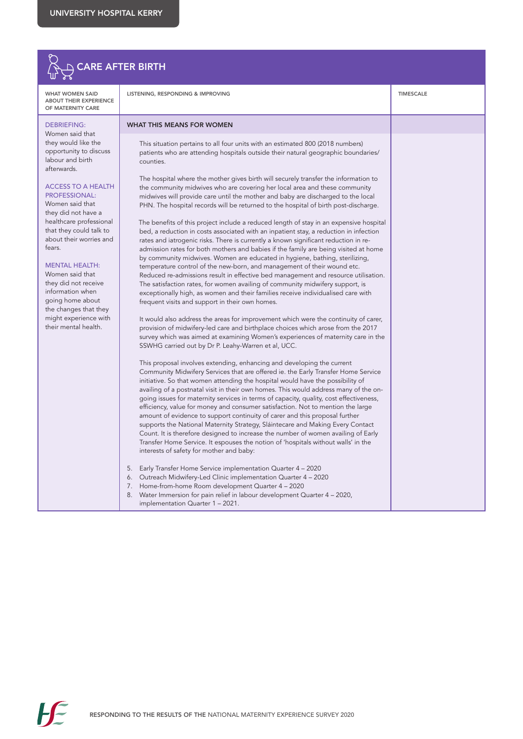

WHAT WOMEN SAID ABOUT THEIR EXPERIENCE OF MATERNITY CARE

#### DEBRIEFING:

Women said that they would like the opportunity to discuss labour and birth afterwards.

#### ACCESS TO A HEALTH PROFESSIONAL:

Women said that they did not have a healthcare professional that they could talk to about their worries and fears.

#### MENTAL HEALTH:

Women said that they did not receive information when going home about the changes that they might experience with their mental health.

LISTENING, RESPONDING & IMPROVING TIMESCALE

#### WHAT THIS MEANS FOR WOMEN

This situation pertains to all four units with an estimated 800 (2018 numbers) patients who are attending hospitals outside their natural geographic boundaries/ counties.

The hospital where the mother gives birth will securely transfer the information to the community midwives who are covering her local area and these community midwives will provide care until the mother and baby are discharged to the local PHN. The hospital records will be returned to the hospital of birth post-discharge.

The benefits of this project include a reduced length of stay in an expensive hospital bed, a reduction in costs associated with an inpatient stay, a reduction in infection rates and iatrogenic risks. There is currently a known significant reduction in readmission rates for both mothers and babies if the family are being visited at home by community midwives. Women are educated in hygiene, bathing, sterilizing, temperature control of the new-born, and management of their wound etc. Reduced re-admissions result in effective bed management and resource utilisation. The satisfaction rates, for women availing of community midwifery support, is exceptionally high, as women and their families receive individualised care with frequent visits and support in their own homes.

It would also address the areas for improvement which were the continuity of carer, provision of midwifery-led care and birthplace choices which arose from the 2017 survey which was aimed at examining Women's experiences of maternity care in the SSWHG carried out by Dr P. Leahy-Warren et al, UCC.

This proposal involves extending, enhancing and developing the current Community Midwifery Services that are offered ie. the Early Transfer Home Service initiative. So that women attending the hospital would have the possibility of availing of a postnatal visit in their own homes. This would address many of the ongoing issues for maternity services in terms of capacity, quality, cost effectiveness, efficiency, value for money and consumer satisfaction. Not to mention the large amount of evidence to support continuity of carer and this proposal further supports the National Maternity Strategy, Sláintecare and Making Every Contact Count. It is therefore designed to increase the number of women availing of Early Transfer Home Service. It espouses the notion of 'hospitals without walls' in the interests of safety for mother and baby:

- 5. Early Transfer Home Service implementation Quarter 4 2020
- 6. Outreach Midwifery-Led Clinic implementation Quarter 4 2020
- 7. Home-from-home Room development Quarter 4 2020
- 8. Water Immersion for pain relief in labour development Quarter 4 2020, implementation Quarter 1 – 2021.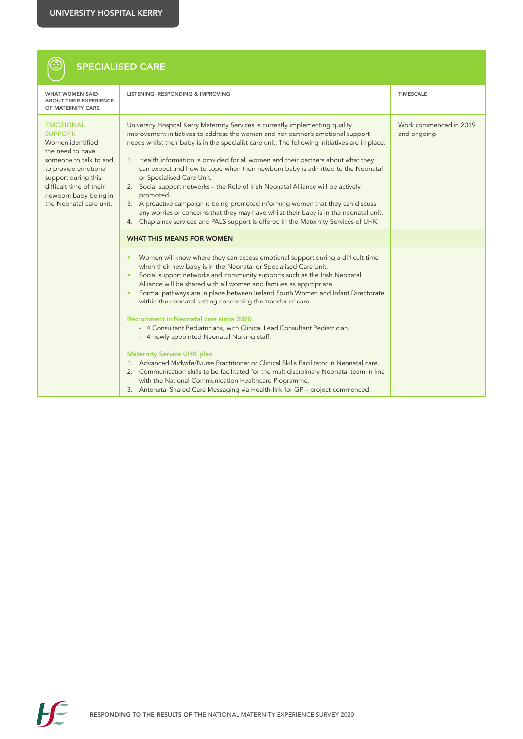$\circledS$ 

# SPECIALISED CARE

| <b>WHAT WOMEN SAID</b><br><b>ABOUT THEIR EXPERIENCE</b><br>OF MATERNITY CARE                                                                                                                                                        | LISTENING, RESPONDING & IMPROVING                                                                                                                                                                                                                                                                                                                                                                                                                                                                                                                                                                                                                                                                                                                                                                                                                | <b>TIMESCALE</b>                      |
|-------------------------------------------------------------------------------------------------------------------------------------------------------------------------------------------------------------------------------------|--------------------------------------------------------------------------------------------------------------------------------------------------------------------------------------------------------------------------------------------------------------------------------------------------------------------------------------------------------------------------------------------------------------------------------------------------------------------------------------------------------------------------------------------------------------------------------------------------------------------------------------------------------------------------------------------------------------------------------------------------------------------------------------------------------------------------------------------------|---------------------------------------|
| <b>EMOTIONAL</b><br><b>SUPPORT:</b><br>Women identified<br>the need to have<br>someone to talk to and<br>to provide emotional<br>support during this<br>difficult time of their<br>newborn baby being in<br>the Neonatal care unit. | University Hospital Kerry Maternity Services is currently implementing quality<br>improvement initiatives to address the woman and her partner's emotional support<br>needs whilst their baby is in the specialist care unit. The following initiatives are in place:<br>1. Health information is provided for all women and their partners about what they<br>can expect and how to cope when their newborn baby is admitted to the Neonatal<br>or Specialised Care Unit.<br>2. Social support networks - the Role of Irish Neonatal Alliance will be actively<br>promoted.<br>3. A proactive campaign is being promoted informing women that they can discuss<br>any worries or concerns that they may have whilst their baby is in the neonatal unit.<br>4. Chaplaincy services and PALS support is offered in the Maternity Services of UHK. | Work commenced in 2019<br>and ongoing |
|                                                                                                                                                                                                                                     | <b>WHAT THIS MEANS FOR WOMEN</b>                                                                                                                                                                                                                                                                                                                                                                                                                                                                                                                                                                                                                                                                                                                                                                                                                 |                                       |
|                                                                                                                                                                                                                                     | Women will know where they can access emotional support during a difficult time<br>٠<br>when their new baby is in the Neonatal or Specialised Care Unit.<br>Social support networks and community supports such as the Irish Neonatal<br>$\bullet$<br>Alliance will be shared with all women and families as appropriate.<br>Formal pathways are in place between Ireland South Women and Infant Directorate<br>٠<br>within the neonatal setting concerning the transfer of care.<br>Recruitment in Neonatal care since 2020<br>- 4 Consultant Pediatricians, with Clinical Lead Consultant Pediatrician.<br>- 4 newly appointed Neonatal Nursing staff.                                                                                                                                                                                         |                                       |
|                                                                                                                                                                                                                                     | <b>Maternity Service UHK plan</b><br>1. Advanced Midwife/Nurse Practitioner or Clinical Skills Facilitator in Neonatal care.<br>Communication skills to be facilitated for the multidisciplinary Neonatal team in line<br>2.<br>with the National Communication Healthcare Programme.<br>3. Antenatal Shared Care Messaging via Health-link for GP - project commenced.                                                                                                                                                                                                                                                                                                                                                                                                                                                                          |                                       |